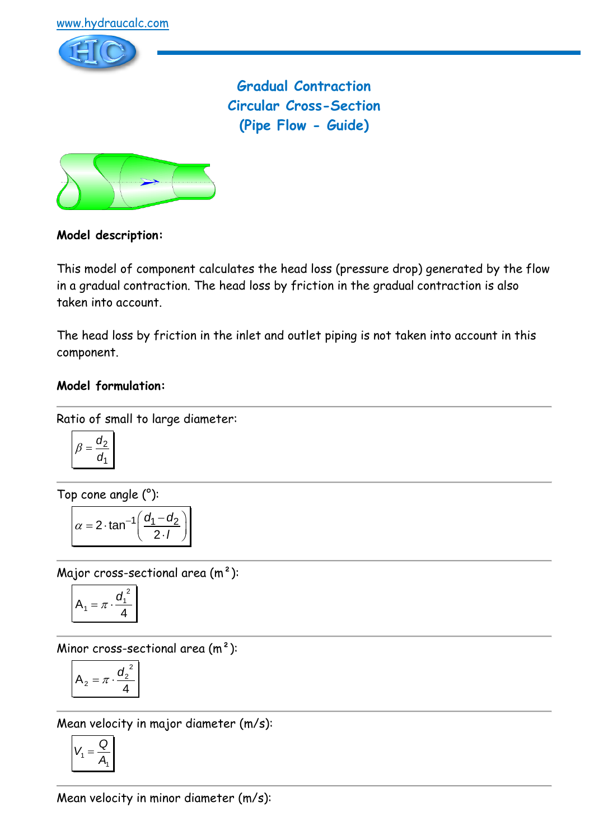

**Gradual Contraction Circular Cross-Section (Pipe Flow - Guide)**



# **Model description:**

This model of component calculates the head loss (pressure drop) generated by the flow in a gradual contraction. The head loss by friction in the gradual contraction is also taken into account.

The head loss by friction in the inlet and outlet piping is not taken into account in this component.

# **Model formulation:**

Ratio of small to large diameter:

$$
\beta = \frac{d_2}{d_1}
$$

Top cone angle (°):

$$
\alpha = 2 \cdot \tan^{-1} \left( \frac{d_1 - d_2}{2 \cdot l} \right)
$$

Major cross-sectional area (m²):

$$
A_1 = \pi \cdot \frac{d_1^2}{4}
$$

Minor cross-sectional area  $(m<sup>2</sup>)$ :

$$
A_2 = \pi \cdot \frac{{d_2}^2}{4}
$$

Mean velocity in major diameter (m/s):

$$
V_1 = \frac{Q}{A_1}
$$

Mean velocity in minor diameter (m/s):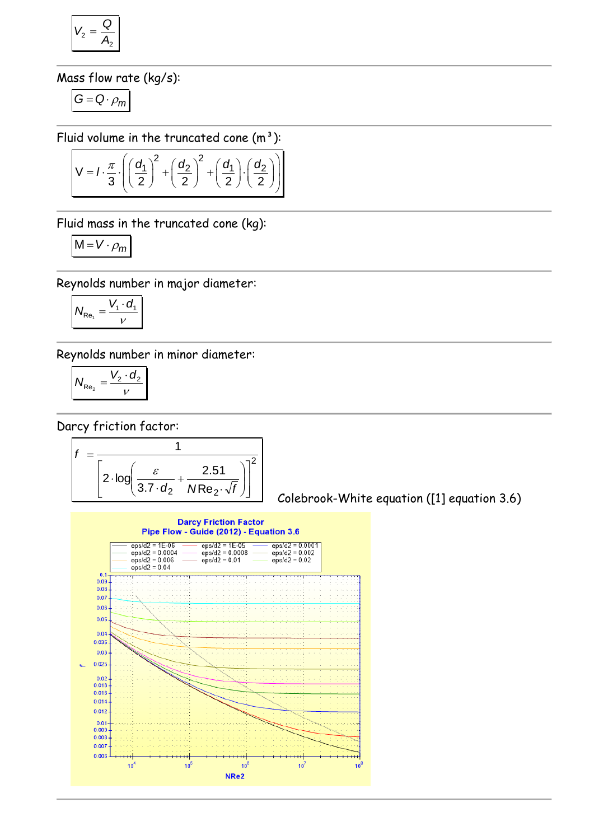$$
V_2 = \frac{Q}{A_2}
$$

Mass flow rate (kg/s):

$$
G=Q\cdot \rho_m
$$

$$
\text{Fluid volume in the truncated cone (m3):}
$$
\n
$$
V = I \cdot \frac{\pi}{3} \cdot \left( \left( \frac{d_1}{2} \right)^2 + \left( \frac{d_2}{2} \right)^2 + \left( \frac{d_1}{2} \right) \cdot \left( \frac{d_2}{2} \right) \right)
$$

Fluid mass in the truncated cone (kg):

$$
M = V \cdot \rho_m
$$

Reynolds number in major diameter:

$$
N_{\text{Re}_1} = \frac{V_1 \cdot d_1}{V}
$$

Reynolds number in minor diameter:

$$
N_{\text{Re}_2} = \frac{V_2 \cdot d_2}{v}
$$

Darcy friction factor:



Colebrook-White equation ([1] equation 3.6)

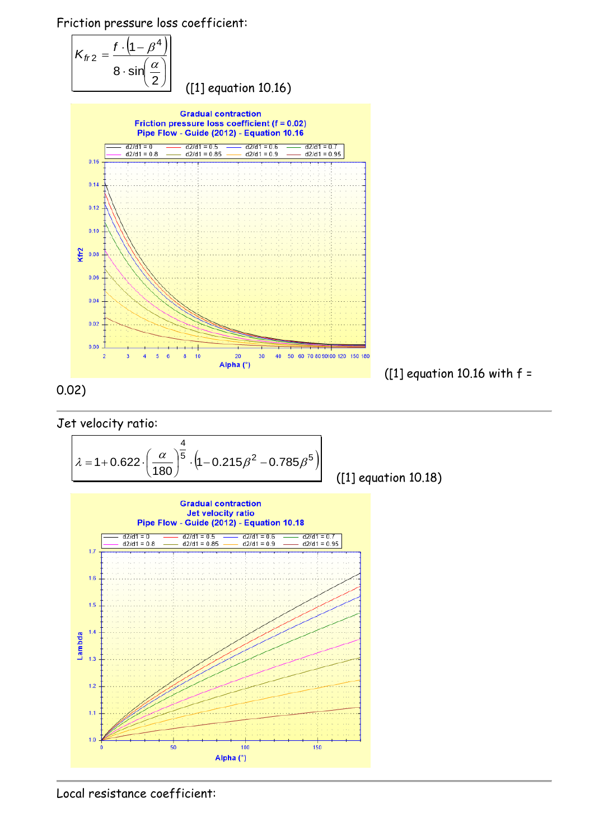Friction pressure loss coefficient:





0.02)





$$
\lambda = 1 + 0.622 \cdot \left(\frac{\alpha}{180}\right)^{\frac{4}{5}} \cdot \left(1 - 0.215\beta^2 - 0.785\beta^5\right)
$$

([1] equation 10.18)



Local resistance coefficient: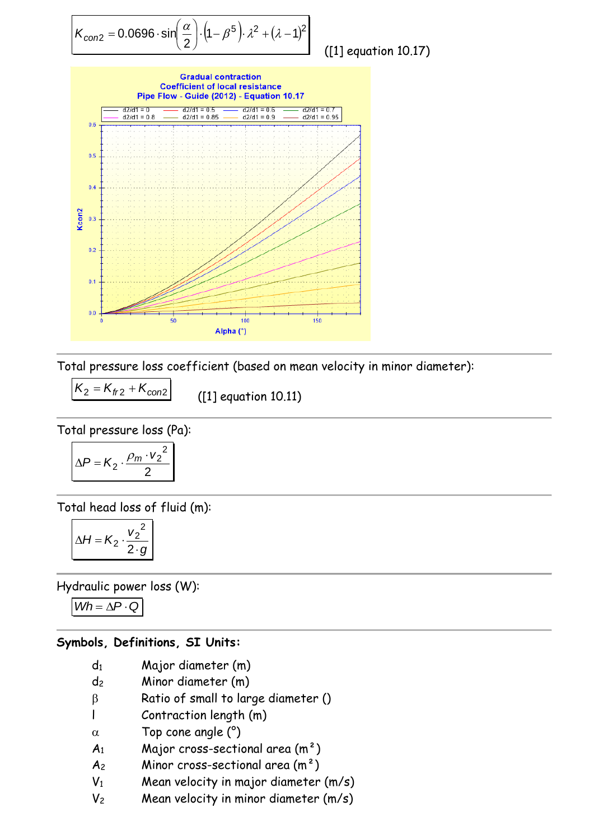$$
K_{\text{con2}} = 0.0696 \cdot \sin\left(\frac{\alpha}{2}\right) \cdot \left(1 - \beta^5\right) \cdot \lambda^2 + (\lambda - 1)^2
$$

([1] equation 10.17)



Total pressure loss coefficient (based on mean velocity in minor diameter):

$$
K_2 = K_{fr2} + K_{con2}
$$

([1] equation 10.11)

Total pressure loss (Pa):

$$
\Delta P = K_2 \cdot \frac{\rho_m \cdot v_2^2}{2}
$$

Total head loss of fluid (m):

$$
\Delta H = K_2 \cdot \frac{{v_2}^2}{2 \cdot g}
$$

Hydraulic power loss (W):

 $Wh = \Delta P \cdot Q$ 

#### **Symbols, Definitions, SI Units:**

- d<sup>1</sup> Major diameter (m)
- d<sup>2</sup> Minor diameter (m)
- $\beta$  Ratio of small to large diameter ()
- l Contraction length (m)
- $\alpha$  Top cone angle  $(°)$
- $A_1$  Major cross-sectional area  $(m^2)$
- $A_2$  Minor cross-sectional area  $(m^2)$
- $V_1$  Mean velocity in major diameter  $(m/s)$
- $V_2$  Mean velocity in minor diameter  $(m/s)$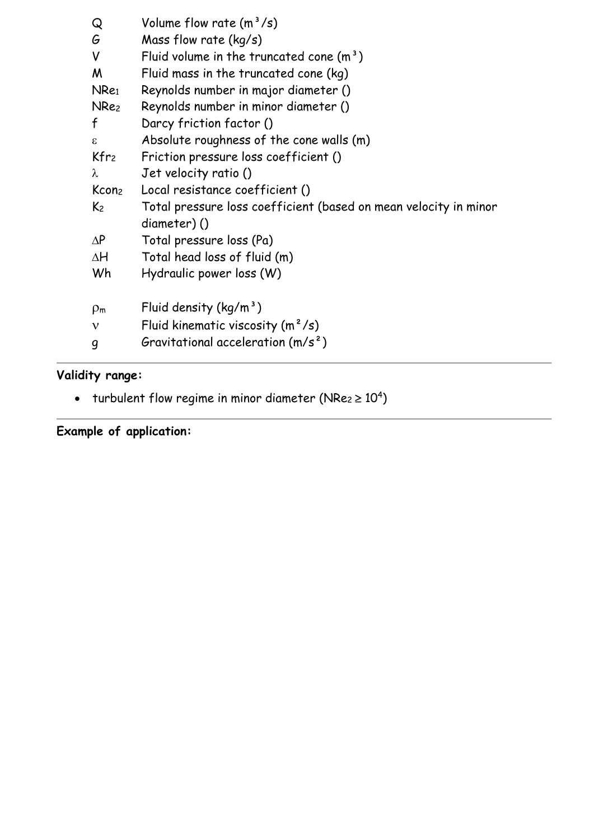| Q                | Volume flow rate $(m^3/s)$                                       |
|------------------|------------------------------------------------------------------|
| G                | Mass flow rate $(kq/s)$                                          |
| V                | Fluid volume in the truncated cone $(m3)$                        |
| M                | Fluid mass in the truncated cone (kg)                            |
| NRe <sub>1</sub> | Reynolds number in major diameter ()                             |
| NRe <sub>2</sub> | Reynolds number in minor diameter ()                             |
| f                | Darcy friction factor ()                                         |
| $\epsilon$       | Absolute roughness of the cone walls (m)                         |
| $Kfr_2$          | Friction pressure loss coefficient ()                            |
| λ                | Jet velocity ratio ()                                            |
|                  | Kcon <sub>2</sub> Local resistance coefficient ()                |
| $K_2$            | Total pressure loss coefficient (based on mean velocity in minor |
|                  | diameter)()                                                      |
| $\Delta P$       | Total pressure loss (Pa)                                         |
| $\Delta H$       | Total head loss of fluid (m)                                     |
| Wh               | Hydraulic power loss (W)                                         |
| $\rho_m$         | Fluid density $(kq/m^3)$                                         |
| $\mathbf v$      | Fluid kinematic viscosity $(m^2/s)$                              |
| g                | Gravitational acceleration $(m/s^2)$                             |

# **Validity range:**

- turbulent flow regime in minor diameter (NRe $_2$   $\geq$   $10^4)$ 

# **Example of application:**